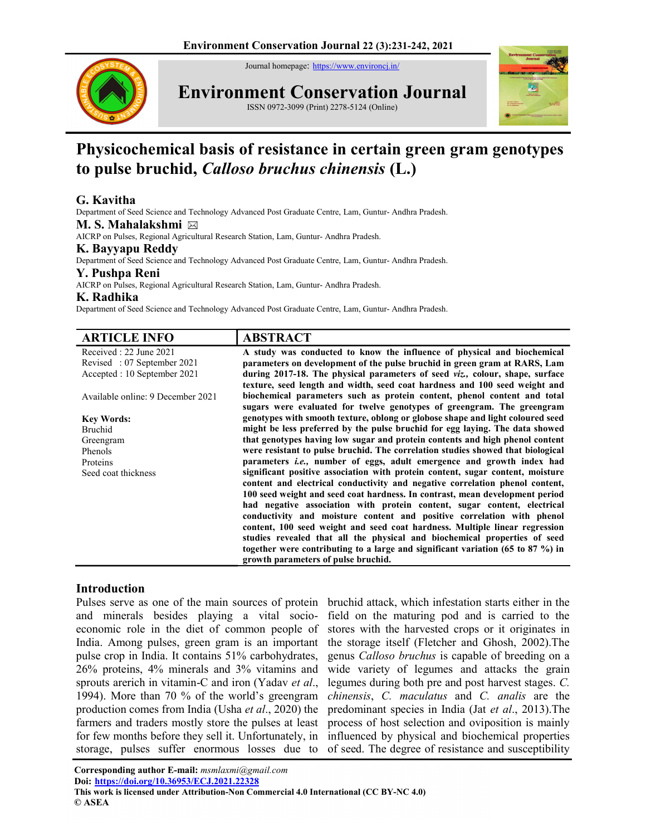Journal homepage: https://www.environcj.in/



Environment Conservation Journal

ISSN 0972-3099 (Print) 2278-5124 (Online)



# Physicochemical basis of resistance in certain green gram genotypes to pulse bruchid, Calloso bruchus chinensis (L.)

# G. Kavitha

Department of Seed Science and Technology Advanced Post Graduate Centre, Lam, Guntur- Andhra Pradesh.

M. S. Mahalakshmi ⊠

AICRP on Pulses, Regional Agricultural Research Station, Lam, Guntur- Andhra Pradesh.

### K. Bayyapu Reddy

Department of Seed Science and Technology Advanced Post Graduate Centre, Lam, Guntur- Andhra Pradesh.

### Y. Pushpa Reni

AICRP on Pulses, Regional Agricultural Research Station, Lam, Guntur- Andhra Pradesh.

#### K. Radhika

Department of Seed Science and Technology Advanced Post Graduate Centre, Lam, Guntur- Andhra Pradesh.

| <b>ARTICLE INFO</b>               | <b>ABSTRACT</b>                                                                     |
|-----------------------------------|-------------------------------------------------------------------------------------|
| Received: 22 June 2021            | A study was conducted to know the influence of physical and biochemical             |
| Revised: 07 September 2021        | parameters on development of the pulse bruchid in green gram at RARS, Lam           |
| Accepted : 10 September 2021      | during 2017-18. The physical parameters of seed viz., colour, shape, surface        |
|                                   | texture, seed length and width, seed coat hardness and 100 seed weight and          |
| Available online: 9 December 2021 | biochemical parameters such as protein content, phenol content and total            |
|                                   | sugars were evaluated for twelve genotypes of greengram. The greengram              |
| <b>Key Words:</b>                 | genotypes with smooth texture, oblong or globose shape and light coloured seed      |
| Bruchid                           | might be less preferred by the pulse bruchid for egg laying. The data showed        |
| Greengram                         | that genotypes having low sugar and protein contents and high phenol content        |
| Phenols                           | were resistant to pulse bruchid. The correlation studies showed that biological     |
| Proteins                          | parameters i.e., number of eggs, adult emergence and growth index had               |
| Seed coat thickness               | significant positive association with protein content, sugar content, moisture      |
|                                   | content and electrical conductivity and negative correlation phenol content,        |
|                                   | 100 seed weight and seed coat hardness. In contrast, mean development period        |
|                                   | had negative association with protein content, sugar content, electrical            |
|                                   | conductivity and moisture content and positive correlation with phenol              |
|                                   | content, 100 seed weight and seed coat hardness. Multiple linear regression         |
|                                   | studies revealed that all the physical and biochemical properties of seed           |
|                                   | together were contributing to a large and significant variation (65 to 87 $\%$ ) in |
|                                   | growth parameters of pulse bruchid.                                                 |

## Introduction

and minerals besides playing a vital socioeconomic role in the diet of common people of India. Among pulses, green gram is an important pulse crop in India. It contains 51% carbohydrates, 26% proteins, 4% minerals and 3% vitamins and sprouts arerich in vitamin-C and iron (Yadav et al., 1994). More than 70 % of the world's greengram production comes from India (Usha et al., 2020) the farmers and traders mostly store the pulses at least for few months before they sell it. Unfortunately, in storage, pulses suffer enormous losses due to

Pulses serve as one of the main sources of protein bruchid attack, which infestation starts either in the field on the maturing pod and is carried to the stores with the harvested crops or it originates in the storage itself (Fletcher and Ghosh, 2002).The genus Calloso bruchus is capable of breeding on a wide variety of legumes and attacks the grain legumes during both pre and post harvest stages. C. chinensis, C. maculatus and C. analis are the predominant species in India (Jat et al., 2013).The process of host selection and oviposition is mainly influenced by physical and biochemical properties of seed. The degree of resistance and susceptibility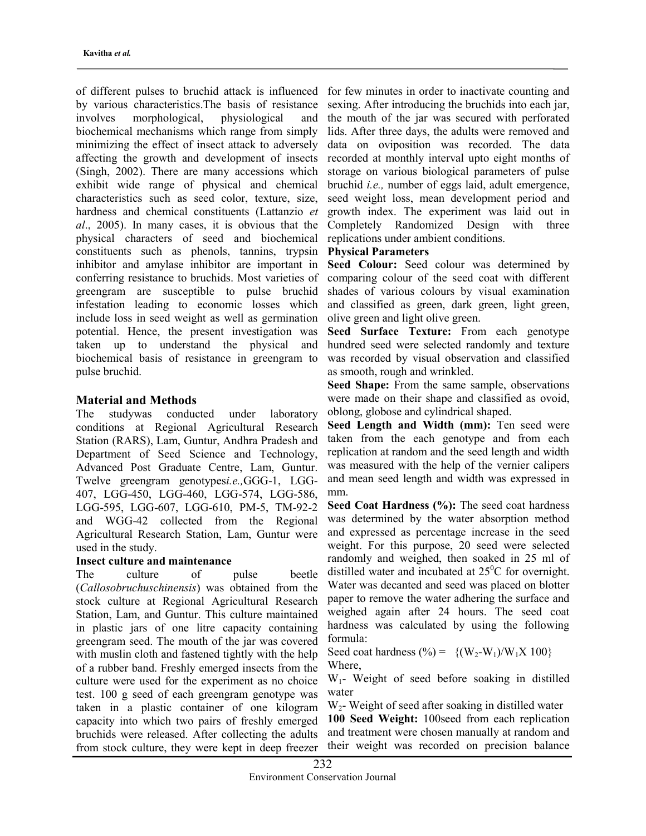of different pulses to bruchid attack is influenced by various characteristics.The basis of resistance involves morphological, physiological and biochemical mechanisms which range from simply minimizing the effect of insect attack to adversely affecting the growth and development of insects (Singh, 2002). There are many accessions which exhibit wide range of physical and chemical characteristics such as seed color, texture, size, hardness and chemical constituents (Lattanzio et al., 2005). In many cases, it is obvious that the physical characters of seed and biochemical constituents such as phenols, tannins, trypsin inhibitor and amylase inhibitor are important in conferring resistance to bruchids. Most varieties of greengram are susceptible to pulse bruchid infestation leading to economic losses which include loss in seed weight as well as germination potential. Hence, the present investigation was taken up to understand the physical and biochemical basis of resistance in greengram to pulse bruchid.

### Material and Methods

The studywas conducted under laboratory conditions at Regional Agricultural Research Station (RARS), Lam, Guntur, Andhra Pradesh and Department of Seed Science and Technology, Advanced Post Graduate Centre, Lam, Guntur. Twelve greengram genotypesi.e.,GGG-1, LGG-407, LGG-450, LGG-460, LGG-574, LGG-586, LGG-595, LGG-607, LGG-610, PM-5, TM-92-2 and WGG-42 collected from the Regional Agricultural Research Station, Lam, Guntur were used in the study.

#### Insect culture and maintenance

The culture of pulse beetle (Callosobruchuschinensis) was obtained from the stock culture at Regional Agricultural Research Station, Lam, and Guntur. This culture maintained in plastic jars of one litre capacity containing greengram seed. The mouth of the jar was covered with muslin cloth and fastened tightly with the help of a rubber band. Freshly emerged insects from the culture were used for the experiment as no choice test. 100 g seed of each greengram genotype was taken in a plastic container of one kilogram capacity into which two pairs of freshly emerged bruchids were released. After collecting the adults from stock culture, they were kept in deep freezer

for few minutes in order to inactivate counting and sexing. After introducing the bruchids into each jar, the mouth of the jar was secured with perforated lids. After three days, the adults were removed and data on oviposition was recorded. The data recorded at monthly interval upto eight months of storage on various biological parameters of pulse bruchid i.e., number of eggs laid, adult emergence, seed weight loss, mean development period and growth index. The experiment was laid out in Completely Randomized Design with three replications under ambient conditions.

#### Physical Parameters

Seed Colour: Seed colour was determined by comparing colour of the seed coat with different shades of various colours by visual examination and classified as green, dark green, light green, olive green and light olive green.

Seed Surface Texture: From each genotype hundred seed were selected randomly and texture was recorded by visual observation and classified as smooth, rough and wrinkled.

Seed Shape: From the same sample, observations were made on their shape and classified as ovoid, oblong, globose and cylindrical shaped.

Seed Length and Width (mm): Ten seed were taken from the each genotype and from each replication at random and the seed length and width was measured with the help of the vernier calipers and mean seed length and width was expressed in mm.

Seed Coat Hardness (%): The seed coat hardness was determined by the water absorption method and expressed as percentage increase in the seed weight. For this purpose, 20 seed were selected randomly and weighed, then soaked in 25 ml of distilled water and incubated at  $25^{\circ}$ C for overnight. Water was decanted and seed was placed on blotter paper to remove the water adhering the surface and weighed again after 24 hours. The seed coat hardness was calculated by using the following formula:

Seed coat hardness  $(\% ) = \{(W_2-W_1)/W_1X\}100\}$ Where,

W1- Weight of seed before soaking in distilled water

 $W<sub>2</sub>$ - Weight of seed after soaking in distilled water 100 Seed Weight: 100seed from each replication and treatment were chosen manually at random and their weight was recorded on precision balance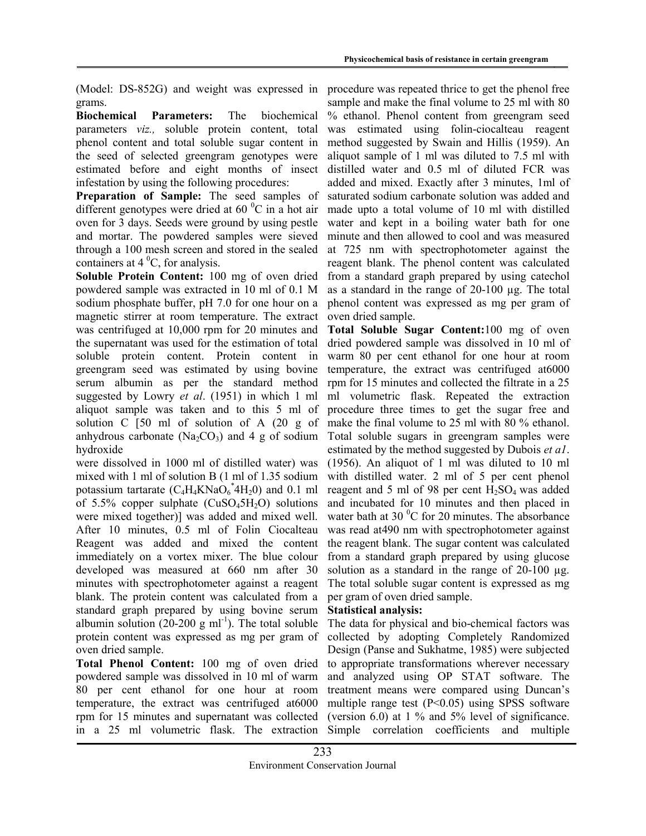(Model: DS-852G) and weight was expressed in grams.

Biochemical Parameters: The biochemical parameters viz., soluble protein content, total phenol content and total soluble sugar content in the seed of selected greengram genotypes were estimated before and eight months of insect infestation by using the following procedures:

Preparation of Sample: The seed samples of different genotypes were dried at  $60<sup>0</sup>C$  in a hot air oven for 3 days. Seeds were ground by using pestle and mortar. The powdered samples were sieved through a 100 mesh screen and stored in the sealed containers at  $4^{\circ}$ C, for analysis.

Soluble Protein Content: 100 mg of oven dried powdered sample was extracted in 10 ml of 0.1 M sodium phosphate buffer, pH 7.0 for one hour on a magnetic stirrer at room temperature. The extract was centrifuged at 10,000 rpm for 20 minutes and the supernatant was used for the estimation of total soluble protein content. Protein content in greengram seed was estimated by using bovine serum albumin as per the standard method suggested by Lowry *et al.* (1951) in which 1 ml aliquot sample was taken and to this 5 ml of solution C [50 ml of solution of A (20 g of anhydrous carbonate  $(Na_2CO_3)$  and 4 g of sodium hydroxide

were dissolved in 1000 ml of distilled water) was mixed with 1 ml of solution B (1 ml of 1.35 sodium potassium tartarate  $(C_4H_4KNaO_6^*4H_20)$  and 0.1 ml of 5.5% copper sulphate  $(CuSO<sub>4</sub>5H<sub>2</sub>O)$  solutions were mixed together)] was added and mixed well. After 10 minutes, 0.5 ml of Folin Ciocalteau Reagent was added and mixed the content immediately on a vortex mixer. The blue colour developed was measured at 660 nm after 30 minutes with spectrophotometer against a reagent blank. The protein content was calculated from a standard graph prepared by using bovine serum albumin solution (20-200 g ml<sup>-1</sup>). The total soluble protein content was expressed as mg per gram of oven dried sample.

Total Phenol Content: 100 mg of oven dried powdered sample was dissolved in 10 ml of warm 80 per cent ethanol for one hour at room temperature, the extract was centrifuged at6000 rpm for 15 minutes and supernatant was collected in a 25 ml volumetric flask. The extraction

procedure was repeated thrice to get the phenol free sample and make the final volume to 25 ml with 80 % ethanol. Phenol content from greengram seed was estimated using folin-ciocalteau reagent method suggested by Swain and Hillis (1959). An aliquot sample of 1 ml was diluted to 7.5 ml with distilled water and 0.5 ml of diluted FCR was added and mixed. Exactly after 3 minutes, 1ml of saturated sodium carbonate solution was added and made upto a total volume of 10 ml with distilled water and kept in a boiling water bath for one minute and then allowed to cool and was measured at 725 nm with spectrophotometer against the reagent blank. The phenol content was calculated from a standard graph prepared by using catechol as a standard in the range of 20-100 µg. The total phenol content was expressed as mg per gram of oven dried sample.

Total Soluble Sugar Content:100 mg of oven dried powdered sample was dissolved in 10 ml of warm 80 per cent ethanol for one hour at room temperature, the extract was centrifuged at6000 rpm for 15 minutes and collected the filtrate in a 25 ml volumetric flask. Repeated the extraction procedure three times to get the sugar free and make the final volume to 25 ml with 80 % ethanol. Total soluble sugars in greengram samples were estimated by the method suggested by Dubois *et al.* (1956). An aliquot of 1 ml was diluted to 10 ml with distilled water. 2 ml of 5 per cent phenol reagent and 5 ml of 98 per cent  $H_2SO_4$  was added and incubated for 10 minutes and then placed in water bath at 30 $\mathrm{^{0}C}$  for 20 minutes. The absorbance was read at 490 nm with spectrophotometer against the reagent blank. The sugar content was calculated from a standard graph prepared by using glucose solution as a standard in the range of  $20-100 \mu$ g. The total soluble sugar content is expressed as mg per gram of oven dried sample.

### Statistical analysis:

The data for physical and bio-chemical factors was collected by adopting Completely Randomized Design (Panse and Sukhatme, 1985) were subjected to appropriate transformations wherever necessary and analyzed using OP STAT software. The treatment means were compared using Duncan's multiple range test  $(P<0.05)$  using SPSS software (version 6.0) at 1 % and 5% level of significance. Simple correlation coefficients and multiple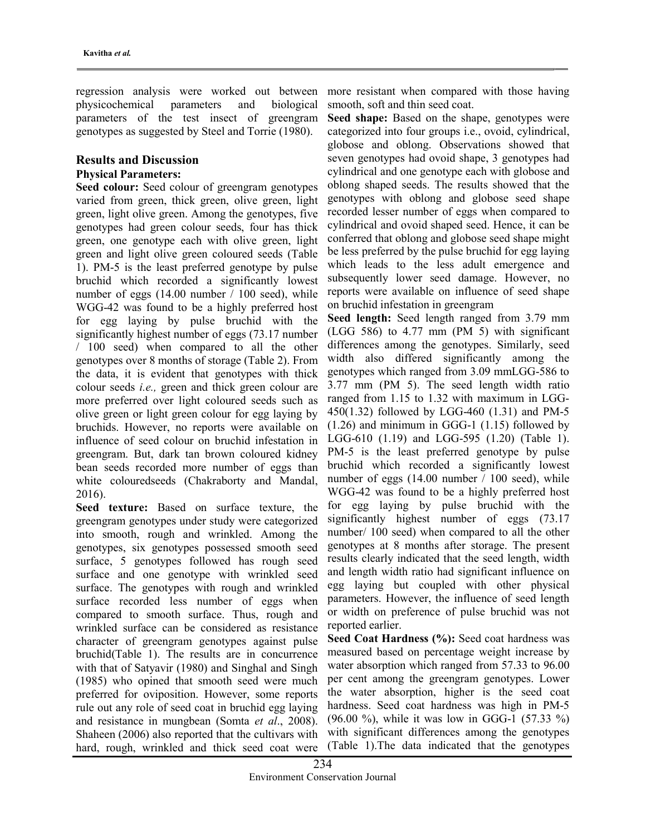regression analysis were worked out between physicochemical parameters and biological parameters of the test insect of greengram genotypes as suggested by Steel and Torrie (1980).

# Results and Discussion

### Physical Parameters:

Seed colour: Seed colour of greengram genotypes varied from green, thick green, olive green, light green, light olive green. Among the genotypes, five genotypes had green colour seeds, four has thick green, one genotype each with olive green, light green and light olive green coloured seeds (Table 1). PM-5 is the least preferred genotype by pulse bruchid which recorded a significantly lowest number of eggs (14.00 number / 100 seed), while WGG-42 was found to be a highly preferred host for egg laying by pulse bruchid with the significantly highest number of eggs (73.17 number / 100 seed) when compared to all the other genotypes over 8 months of storage (Table 2). From the data, it is evident that genotypes with thick colour seeds i.e., green and thick green colour are more preferred over light coloured seeds such as olive green or light green colour for egg laying by bruchids. However, no reports were available on influence of seed colour on bruchid infestation in greengram. But, dark tan brown coloured kidney bean seeds recorded more number of eggs than white colouredseeds (Chakraborty and Mandal, 2016).

Seed texture: Based on surface texture, the greengram genotypes under study were categorized into smooth, rough and wrinkled. Among the genotypes, six genotypes possessed smooth seed surface, 5 genotypes followed has rough seed surface and one genotype with wrinkled seed surface. The genotypes with rough and wrinkled surface recorded less number of eggs when compared to smooth surface. Thus, rough and wrinkled surface can be considered as resistance character of greengram genotypes against pulse bruchid(Table 1). The results are in concurrence with that of Satyavir (1980) and Singhal and Singh (1985) who opined that smooth seed were much preferred for oviposition. However, some reports rule out any role of seed coat in bruchid egg laying and resistance in mungbean (Somta et al., 2008). Shaheen (2006) also reported that the cultivars with hard, rough, wrinkled and thick seed coat were

more resistant when compared with those having smooth, soft and thin seed coat.

Seed shape: Based on the shape, genotypes were categorized into four groups i.e., ovoid, cylindrical, globose and oblong. Observations showed that seven genotypes had ovoid shape, 3 genotypes had cylindrical and one genotype each with globose and oblong shaped seeds. The results showed that the genotypes with oblong and globose seed shape recorded lesser number of eggs when compared to cylindrical and ovoid shaped seed. Hence, it can be conferred that oblong and globose seed shape might be less preferred by the pulse bruchid for egg laying which leads to the less adult emergence and subsequently lower seed damage. However, no reports were available on influence of seed shape on bruchid infestation in greengram

Seed length: Seed length ranged from 3.79 mm (LGG 586) to 4.77 mm (PM 5) with significant differences among the genotypes. Similarly, seed width also differed significantly among the genotypes which ranged from 3.09 mmLGG-586 to 3.77 mm (PM 5). The seed length width ratio ranged from 1.15 to 1.32 with maximum in LGG-450(1.32) followed by LGG-460 (1.31) and PM-5 (1.26) and minimum in GGG-1 (1.15) followed by LGG-610 (1.19) and LGG-595 (1.20) (Table 1). PM-5 is the least preferred genotype by pulse bruchid which recorded a significantly lowest number of eggs (14.00 number / 100 seed), while WGG-42 was found to be a highly preferred host for egg laying by pulse bruchid with the significantly highest number of eggs (73.17) number/ 100 seed) when compared to all the other genotypes at 8 months after storage. The present results clearly indicated that the seed length, width and length width ratio had significant influence on egg laying but coupled with other physical parameters. However, the influence of seed length or width on preference of pulse bruchid was not reported earlier.

Seed Coat Hardness (%): Seed coat hardness was measured based on percentage weight increase by water absorption which ranged from 57.33 to 96.00 per cent among the greengram genotypes. Lower the water absorption, higher is the seed coat hardness. Seed coat hardness was high in PM-5 (96.00 %), while it was low in GGG-1 (57.33 %) with significant differences among the genotypes (Table 1).The data indicated that the genotypes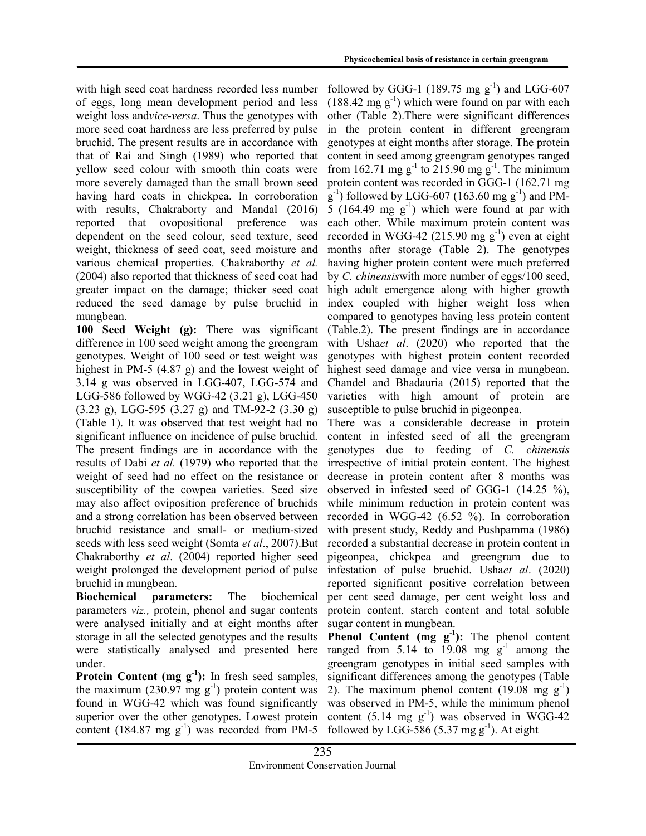with high seed coat hardness recorded less number of eggs, long mean development period and less weight loss andvice-versa. Thus the genotypes with more seed coat hardness are less preferred by pulse bruchid. The present results are in accordance with that of Rai and Singh (1989) who reported that yellow seed colour with smooth thin coats were more severely damaged than the small brown seed having hard coats in chickpea. In corroboration with results, Chakraborty and Mandal (2016) reported that ovopositional preference was dependent on the seed colour, seed texture, seed weight, thickness of seed coat, seed moisture and various chemical properties. Chakraborthy et al. (2004) also reported that thickness of seed coat had greater impact on the damage; thicker seed coat reduced the seed damage by pulse bruchid in mungbean.

100 Seed Weight (g): There was significant difference in 100 seed weight among the greengram genotypes. Weight of 100 seed or test weight was highest in PM-5 (4.87 g) and the lowest weight of 3.14 g was observed in LGG-407, LGG-574 and LGG-586 followed by WGG-42 (3.21 g), LGG-450 (3.23 g), LGG-595 (3.27 g) and TM-92-2 (3.30 g) (Table 1). It was observed that test weight had no significant influence on incidence of pulse bruchid. The present findings are in accordance with the results of Dabi et al. (1979) who reported that the weight of seed had no effect on the resistance or susceptibility of the cowpea varieties. Seed size may also affect oviposition preference of bruchids and a strong correlation has been observed between bruchid resistance and small- or medium-sized seeds with less seed weight (Somta *et al.*, 2007). But Chakraborthy et al. (2004) reported higher seed weight prolonged the development period of pulse bruchid in mungbean.

Biochemical parameters: The biochemical parameters viz., protein, phenol and sugar contents were analysed initially and at eight months after storage in all the selected genotypes and the results were statistically analysed and presented here under.

**Protein Content (mg**  $g^{-1}$ **):** In fresh seed samples, the maximum (230.97 mg  $g^{-1}$ ) protein content was found in WGG-42 which was found significantly superior over the other genotypes. Lowest protein content (184.87 mg  $g^{-1}$ ) was recorded from PM-5

followed by GGG-1 (189.75 mg  $g^{-1}$ ) and LGG-607  $(188.42 \text{ mg g}^{-1})$  which were found on par with each other (Table 2).There were significant differences in the protein content in different greengram genotypes at eight months after storage. The protein content in seed among greengram genotypes ranged from 162.71 mg g<sup>-1</sup> to 215.90 mg g<sup>-1</sup>. The minimum protein content was recorded in GGG-1 (162.71 mg  $(g^{-1})$  followed by LGG-607 (163.60 mg  $g^{-1}$ ) and PM-5 (164.49 mg  $g^{-1}$ ) which were found at par with each other. While maximum protein content was recorded in WGG-42 (215.90 mg  $g^{-1}$ ) even at eight months after storage (Table 2). The genotypes having higher protein content were much preferred by C. chinensiswith more number of eggs/100 seed, high adult emergence along with higher growth index coupled with higher weight loss when compared to genotypes having less protein content (Table.2). The present findings are in accordance with Ushaet al. (2020) who reported that the genotypes with highest protein content recorded highest seed damage and vice versa in mungbean. Chandel and Bhadauria (2015) reported that the varieties with high amount of protein are susceptible to pulse bruchid in pigeonpea.

There was a considerable decrease in protein content in infested seed of all the greengram genotypes due to feeding of C. chinensis irrespective of initial protein content. The highest decrease in protein content after 8 months was observed in infested seed of GGG-1 (14.25 %), while minimum reduction in protein content was recorded in WGG-42 (6.52 %). In corroboration with present study, Reddy and Pushpamma (1986) recorded a substantial decrease in protein content in pigeonpea, chickpea and greengram due to infestation of pulse bruchid. Ushaet al. (2020) reported significant positive correlation between per cent seed damage, per cent weight loss and protein content, starch content and total soluble sugar content in mungbean.

**Phenol Content (mg**  $g^{-1}$ **):** The phenol content ranged from 5.14 to 19.08 mg  $g^{-1}$  among the greengram genotypes in initial seed samples with significant differences among the genotypes (Table 2). The maximum phenol content  $(19.08 \text{ mg g}^{-1})$ was observed in PM-5, while the minimum phenol content  $(5.14 \text{ mg g}^{-1})$  was observed in WGG-42 followed by LGG-586 (5.37 mg  $g^{-1}$ ). At eight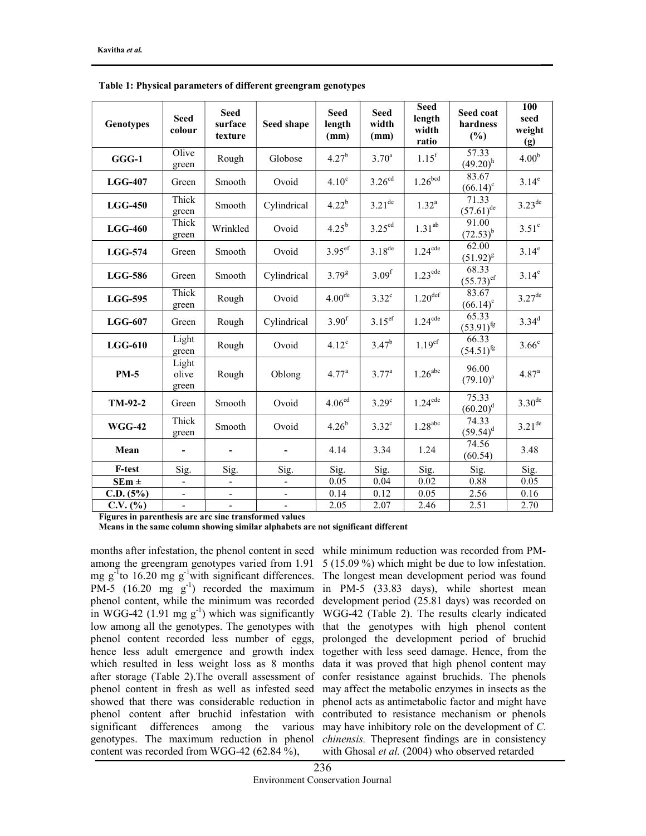| Genotypes      | <b>Seed</b><br>colour    | <b>Seed</b><br>surface<br>texture | Seed shape                   | <b>Seed</b><br>length<br>(mm) | <b>Seed</b><br>width<br>(mm) | <b>Seed</b><br>length<br>width<br>ratio | Seed coat<br>hardness<br>(%)     | 100<br>seed<br>weight<br>(g) |
|----------------|--------------------------|-----------------------------------|------------------------------|-------------------------------|------------------------------|-----------------------------------------|----------------------------------|------------------------------|
| GGG-1          | Olive<br>green           | Rough                             | Globose                      | $4.27^{b}$                    | $3.70^{a}$                   | $1.15^{f}$                              | 57.33<br>$(49.20)^h$             | 4.00 <sup>b</sup>            |
| $LGG-407$      | Green                    | Smooth                            | Ovoid                        | 4.10 <sup>c</sup>             | 3.26 <sup>cd</sup>           | 1.26 <sup>bcd</sup>                     | 83.67<br>$(66.14)^c$             | $3.14^e$                     |
| $LGG-450$      | Thick<br>green           | Smooth                            | Cylindrical                  | $4.22^{b}$                    | $3.21^{de}$                  | $1.32^{a}$                              | 71.33<br>$(57.61)$ <sup>de</sup> | $3.23^{\text{de}}$           |
| <b>LGG-460</b> | Thick<br>green           | Wrinkled                          | Ovoid                        | $4.25^{b}$                    | 3.25 <sup>cd</sup>           | $1.31^{ab}$                             | 91.00<br>$(72.53)^{b}$           | $3.51^\circ$                 |
| $LGG-574$      | Green                    | Smooth                            | Ovoid                        | $3.95$ <sup>ef</sup>          | $3.18^{de}$                  | $1.24$ <sup>cde</sup>                   | 62.00<br>$(51.92)^{g}$           | 3.14 <sup>e</sup>            |
| <b>LGG-586</b> | Green                    | Smooth                            | Cylindrical                  | $3.79^{8}$                    | 3.09 <sup>f</sup>            | $1.23^{\text{cde}}$                     | 68.33<br>$(55.73)$ <sup>ef</sup> | $3.14^e$                     |
| <b>LGG-595</b> | Thick<br>green           | Rough                             | Ovoid                        | 4.00 <sup>de</sup>            | $3.32^{\circ}$               | $1.20$ <sup>def</sup>                   | 83.67<br>$(66.14)^c$             | $3.27^{de}$                  |
| $LGG-607$      | Green                    | Rough                             | Cylindrical                  | 3.90 <sup>f</sup>             | $3.15$ ef                    | $1.24$ <sup>cde</sup>                   | 65.33<br>$(53.91)$ <sup>fg</sup> | $3.34^{d}$                   |
| $LGG-610$      | Light<br>green           | Rough                             | Ovoid                        | 4.12 <sup>c</sup>             | $3.47^{b}$                   | 1.19 <sup>ef</sup>                      | 66.33<br>$(54.51)$ <sup>fg</sup> | 3.66 <sup>c</sup>            |
| <b>PM-5</b>    | Light<br>olive<br>green  | Rough                             | Oblong                       | $4.77^{\rm a}$                | $3.77^{\rm a}$               | $1.26$ <sup>abc</sup>                   | 96.00<br>$(79.10)^{a}$           | $4.87^{\circ}$               |
| $TM-92-2$      | Green                    | Smooth                            | Ovoid                        | 4.06 <sup>cd</sup>            | 3.29 <sup>c</sup>            | $1.24$ <sup>cde</sup>                   | 75.33<br>$(60.20)^d$             | $3.30^{\text{de}}$           |
| <b>WGG-42</b>  | Thick<br>green           | Smooth                            | Ovoid                        | $4.26^{b}$                    | $3.32^{\circ}$               | $1.28$ <sup>abc</sup>                   | 74.33<br>$(59.54)^d$             | $3.21$ <sup>de</sup>         |
| Mean           |                          |                                   |                              | 4.14                          | 3.34                         | 1.24                                    | 74.56<br>(60.54)                 | 3.48                         |
| F-test         | Sig.                     | Sig.                              | Sig.                         | Sig.                          | Sig.                         | Sig.                                    | Sig.                             | Sig.                         |
| $SEm \pm$      |                          |                                   |                              | 0.05                          | 0.04                         | 0.02                                    | 0.88                             | 0.05                         |
| C.D. (5%)      | $\overline{\phantom{0}}$ | $\qquad \qquad \blacksquare$      | $\qquad \qquad \blacksquare$ | 0.14                          | 0.12                         | 0.05                                    | 2.56                             | 0.16                         |
| $C.V.$ (%)     | $\overline{\phantom{a}}$ | $\overline{\phantom{a}}$          | $\overline{\phantom{a}}$     | 2.05                          | 2.07                         | 2.46                                    | 2.51                             | 2.70                         |

Table 1: Physical parameters of different greengram genotypes

Figures in parenthesis are arc sine transformed values

Means in the same column showing similar alphabets are not significant different

months after infestation, the phenol content in seed while minimum reduction was recorded from PMamong the greengram genotypes varied from 1.91 5 (15.09 %) which might be due to low infestation. mg  $g^{-1}$ to 16.20 mg  $g^{-1}$ with significant differences. The longest mean development period was found PM-5  $(16.20 \text{ mg g}^{-1})$  recorded the maximum in PM-5  $(33.83 \text{ days})$ , while shortest mean phenol content, while the minimum was recorded development period (25.81 days) was recorded on in WGG-42 (1.91 mg g<sup>-1</sup>) which was significantly WGG-42 (Table 2). The results clearly indicated low among all the genotypes. The genotypes with that the genotypes with high phenol content phenol content recorded less number of eggs, prolonged the development period of bruchid hence less adult emergence and growth index together with less seed damage. Hence, from the which resulted in less weight loss as 8 months data it was proved that high phenol content may after storage (Table 2).The overall assessment of confer resistance against bruchids. The phenols phenol content in fresh as well as infested seed may affect the metabolic enzymes in insects as the showed that there was considerable reduction in phenol acts as antimetabolic factor and might have phenol content after bruchid infestation with contributed to resistance mechanism or phenols significant differences among the various may have inhibitory role on the development of C. genotypes. The maximum reduction in phenol *chinensis*. The present findings are in consistency content was recorded from WGG-42 (62.84 %),

with Ghosal et al. (2004) who observed retarded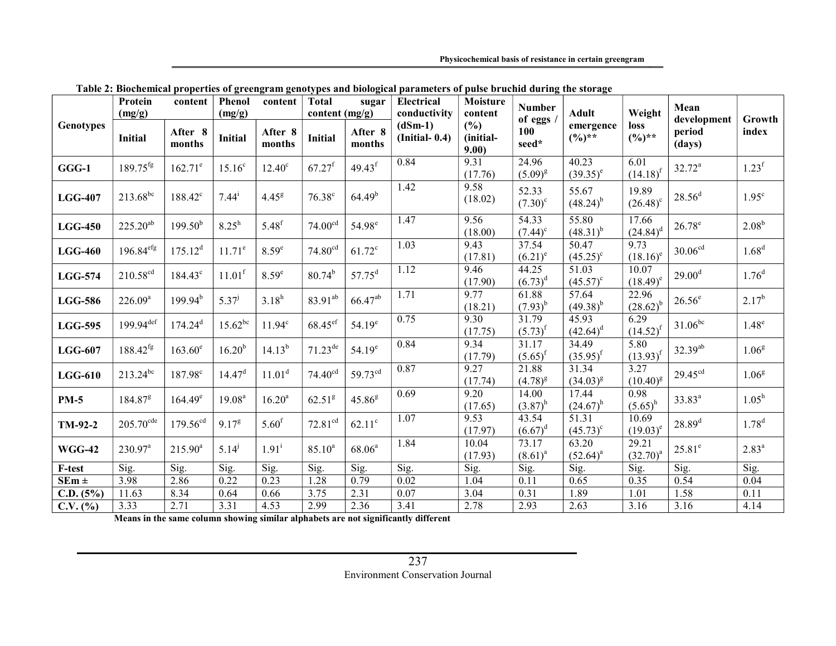Physicochemical basis of resistance in certain greengram

|                  | Protein<br>(mg/g)       | content             | Phenol<br>(mg/g)     | content            | <b>Total</b><br>content (mg/g) | sugar                | <b>Electrical</b><br>conductivity | Moisture<br>content       | <b>Number</b>                    | <b>Adult</b>                      | Weight                     | Mean                            |                   |
|------------------|-------------------------|---------------------|----------------------|--------------------|--------------------------------|----------------------|-----------------------------------|---------------------------|----------------------------------|-----------------------------------|----------------------------|---------------------------------|-------------------|
| <b>Genotypes</b> | <b>Initial</b>          | After 8<br>months   | <b>Initial</b>       | After 8<br>months  | <b>Initial</b>                 | After 8<br>months    | $(dSm-1)$<br>$(Initial-0.4)$      | (%)<br>(initial-<br>9.00) | of eggs /<br><b>100</b><br>seed* | emergence<br>$(\frac{0}{0})^{**}$ | <b>loss</b><br>$(\%)^{**}$ | development<br>period<br>(days) | Growth<br>index   |
| $GGG-1$          | $189.75$ <sup>fg</sup>  | $162.71^e$          | $15.16^{\circ}$      | $12.40^{\circ}$    | $67.27$ <sup>f</sup>           | $49.43$ <sup>f</sup> | 0.84                              | 9.31<br>(17.76)           | 24.96<br>$(5.09)^{g}$            | 40.23<br>$(39.35)^e$              | 6.01<br>$(14.18)^f$        | $32.72^a$                       | 1.23 <sup>f</sup> |
| $LGG-407$        | $213.68^{bc}$           | $188.42^{\circ}$    | $7.44^{i}$           | 4.45 <sup>g</sup>  | $76.38^{\circ}$                | 64.49 <sup>b</sup>   | 1.42                              | 9.58<br>(18.02)           | 52.33<br>$(7.30)^{\circ}$        | 55.67<br>$(48.24)^{b}$            | 19.89<br>$(26.48)^c$       | $28.56^{\rm d}$                 | $1.95^{\circ}$    |
| $LGG-450$        | $225.20^{ab}$           | $199.50^{b}$        | $8.25^{\rm h}$       | $5.48^{f}$         | 74.00 <sup>cd</sup>            | 54.98 <sup>e</sup>   | 1.47                              | 9.56<br>(18.00)           | 54.33<br>$(7.44)^c$              | 55.80<br>$(48.31)^{b}$            | 17.66<br>$(24.84)^d$       | $26.78^e$                       | 2.08 <sup>b</sup> |
| $LGG-460$        | 196.84 <sup>efg</sup>   | $175.12^d$          | $11.71^e$            | 8.59 <sup>e</sup>  | 74.80 <sup>cd</sup>            | $61.72^{\circ}$      | $\overline{1.03}$                 | 9.43<br>(17.81)           | 37.54<br>$(6.21)^e$              | 50.47<br>$(45.25)^{\circ}$        | 9.73<br>$(18.16)^e$        | 30.06 <sup>cd</sup>             | 1.68 <sup>d</sup> |
| <b>LGG-574</b>   | $210.58^{cd}$           | $184.43^{\circ}$    | $11.01$ <sup>f</sup> | 8.59 <sup>e</sup>  | $80.74^{b}$                    | $57.75^{\rm d}$      | 1.12                              | 9.46<br>(17.90)           | 44.25<br>$(6.73)^d$              | 51.03<br>$(45.57)^{\circ}$        | 10.07<br>$(18.49)^e$       | $29.00^{\rm d}$                 | $1.76^{d}$        |
| <b>LGG-586</b>   | $226.09^{a}$            | $199.94^{b}$        | $5.37^{j}$           | $3.18^{h}$         | 83.91 <sup>ab</sup>            | $66.47^{ab}$         | 1.71                              | 9.77<br>(18.21)           | 61.88<br>$(7.93)^{b}$            | 57.64<br>$(49.38)^{b}$            | 22.96<br>$(28.62)^{b}$     | $26.56^e$                       | $2.17^{b}$        |
| <b>LGG-595</b>   | $199.94$ <sup>def</sup> | $174.24^d$          | $15.62^{bc}$         | $11.94^c$          | $68.45$ ef                     | $54.19^e$            | 0.75                              | 9.30<br>(17.75)           | 31.79<br>$(5.73)^{f}$            | 45.93<br>$(42.64)^d$              | 6.29<br>$(14.52)^{f}$      | $31.06^{bc}$                    | $1.48^e$          |
| $LGG-607$        | $188.42^{fg}$           | $163.60^e$          | $16.20^{b}$          | $14.13^{b}$        | $71.23^{\text{de}}$            | $54.19^e$            | 0.84                              | 9.34<br>(17.79)           | 31.17<br>$(5.65)^{f}$            | 34.49<br>$(35.95)^{f}$            | 5.80<br>$(13.93)^{f}$      | $32.39^{ab}$                    | 1.06 <sup>g</sup> |
| $LGG-610$        | $213.24^{bc}$           | 187.98 <sup>c</sup> | 14.47 <sup>d</sup>   | $11.01^d$          | 74.40 <sup>cd</sup>            | 59.73 <sup>cd</sup>  | 0.87                              | 9.27<br>(17.74)           | 21.88<br>$(4.78)^{g}$            | 31.34<br>$(34.03)^{g}$            | 3.27<br>$(10.40)^{g}$      | 29.45 <sup>cd</sup>             | 1.06 <sup>g</sup> |
| <b>PM-5</b>      | $184.87$ <sup>g</sup>   | $164.49^e$          | 19.08 <sup>a</sup>   | 16.20 <sup>a</sup> | 62.51 <sup>g</sup>             | $45.86^{8}$          | 0.69                              | 9.20<br>(17.65)           | 14.00<br>$(3.87)^{h}$            | 17.44<br>$(24.67)^h$              | 0.98<br>$(5.65)^{h}$       | $33.83^a$                       | $1.05^h$          |
| TM-92-2          | $205.70^{\text{cde}}$   | $179.56^{cd}$       | 9.17 <sup>g</sup>    | 5.60 <sup>f</sup>  | 72.81 <sup>cd</sup>            | $62.11^{\circ}$      | 1.07                              | 9.53<br>(17.97)           | 43.54<br>$(6.67)^d$              | 51.31<br>$(45.73)^{\circ}$        | 10.69<br>$(19.03)^e$       | $28.89^{d}$                     | $1.78^{d}$        |
| <b>WGG-42</b>    | 230.97 <sup>a</sup>     | $215.90^a$          | $5.14^{j}$           | $1.91^{i}$         | $85.10^{a}$                    | 68.06 <sup>a</sup>   | 1.84                              | 10.04<br>(17.93)          | 73.17<br>$(8.61)^{a}$            | 63.20<br>$(52.64)^{a}$            | 29.21<br>$(32.70)^{a}$     | $25.81^e$                       | 2.83 <sup>a</sup> |
| F-test           | Sig.                    | Sig.                | Sig.                 | Sig.               | Sig.                           | Sig.                 | Sig.                              | Sig.                      | Sig.                             | Sig.                              | Sig.                       | Sig.                            | Sig.              |
| $SEm \pm$        | 3.98                    | 2.86                | 0.22                 | 0.23               | 1.28                           | 0.79                 | 0.02                              | 1.04                      | 0.11                             | 0.65                              | 0.35                       | 0.54                            | 0.04              |
| C.D. (5%)        | 11.63                   | 8.34                | 0.64                 | 0.66               | 3.75                           | 2.31                 | $\overline{0.07}$                 | 3.04                      | 0.31                             | 1.89                              | 1.01                       | 1.58                            | $\overline{0.11}$ |
| C.V. (%)         | 3.33                    | 2.71                | 3.31                 | 4.53               | 2.99                           | 2.36                 | 3.41                              | 2.78                      | 2.93                             | 2.63                              | 3.16                       | 3.16                            | 4.14              |

Table 2: Biochemical properties of greengram genotypes and biological parameters of pulse bruchid during the storage

Means in the same column showing similar alphabets are not significantly different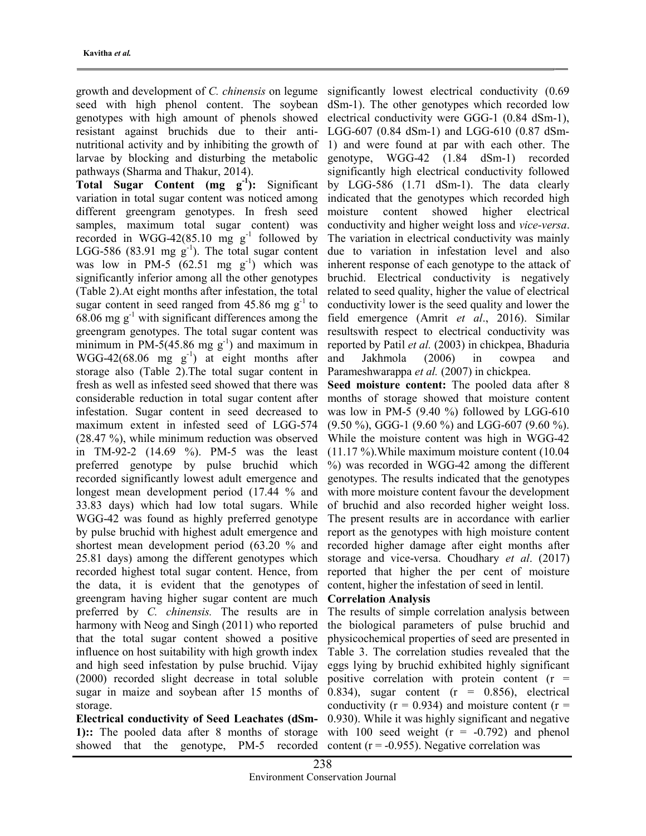growth and development of C. chinensis on legume seed with high phenol content. The soybean genotypes with high amount of phenols showed resistant against bruchids due to their antinutritional activity and by inhibiting the growth of larvae by blocking and disturbing the metabolic pathways (Sharma and Thakur, 2014).

Total Sugar Content  $(mg g^{-1})$ : Significant variation in total sugar content was noticed among different greengram genotypes. In fresh seed samples, maximum total sugar content) was recorded in WGG-42(85.10 mg  $g^{-1}$  followed by LGG-586 (83.91 mg  $g^{-1}$ ). The total sugar content was low in PM-5 (62.51 mg  $g^{-1}$ ) which was significantly inferior among all the other genotypes (Table 2).At eight months after infestation, the total sugar content in seed ranged from 45.86 mg  $g^{-1}$  to 68.06 mg  $g^{-1}$  with significant differences among the greengram genotypes. The total sugar content was minimum in PM-5(45.86 mg  $g^{-1}$ ) and maximum in WGG-42(68.06 mg  $g^{-1}$ ) at eight months after storage also (Table 2).The total sugar content in fresh as well as infested seed showed that there was considerable reduction in total sugar content after infestation. Sugar content in seed decreased to maximum extent in infested seed of LGG-574 (28.47 %), while minimum reduction was observed in TM-92-2 (14.69 %). PM-5 was the least preferred genotype by pulse bruchid which recorded significantly lowest adult emergence and longest mean development period (17.44 % and 33.83 days) which had low total sugars. While WGG-42 was found as highly preferred genotype by pulse bruchid with highest adult emergence and shortest mean development period (63.20 % and 25.81 days) among the different genotypes which recorded highest total sugar content. Hence, from the data, it is evident that the genotypes of greengram having higher sugar content are much preferred by C. chinensis. The results are in harmony with Neog and Singh (2011) who reported that the total sugar content showed a positive influence on host suitability with high growth index and high seed infestation by pulse bruchid. Vijay (2000) recorded slight decrease in total soluble sugar in maize and soybean after 15 months of storage.

Electrical conductivity of Seed Leachates (dSm-1):: The pooled data after 8 months of storage showed that the genotype, PM-5 recorded significantly lowest electrical conductivity (0.69 dSm-1). The other genotypes which recorded low electrical conductivity were GGG-1 (0.84 dSm-1), LGG-607 (0.84 dSm-1) and LGG-610 (0.87 dSm-1) and were found at par with each other. The genotype, WGG-42 (1.84 dSm-1) recorded significantly high electrical conductivity followed by LGG-586 (1.71 dSm-1). The data clearly indicated that the genotypes which recorded high moisture content showed higher electrical conductivity and higher weight loss and vice-versa. The variation in electrical conductivity was mainly due to variation in infestation level and also inherent response of each genotype to the attack of bruchid. Electrical conductivity is negatively related to seed quality, higher the value of electrical conductivity lower is the seed quality and lower the field emergence (Amrit et al., 2016). Similar resultswith respect to electrical conductivity was reported by Patil et al. (2003) in chickpea, Bhaduria and Jakhmola (2006) in cowpea and Parameshwarappa et al. (2007) in chickpea.

Seed moisture content: The pooled data after 8 months of storage showed that moisture content was low in PM-5 (9.40 %) followed by LGG-610 (9.50 %), GGG-1 (9.60 %) and LGG-607 (9.60 %). While the moisture content was high in WGG-42 (11.17 %).While maximum moisture content (10.04 %) was recorded in WGG-42 among the different genotypes. The results indicated that the genotypes with more moisture content favour the development of bruchid and also recorded higher weight loss. The present results are in accordance with earlier report as the genotypes with high moisture content recorded higher damage after eight months after storage and vice-versa. Choudhary et al. (2017) reported that higher the per cent of moisture content, higher the infestation of seed in lentil.

#### Correlation Analysis

The results of simple correlation analysis between the biological parameters of pulse bruchid and physicochemical properties of seed are presented in Table 3. The correlation studies revealed that the eggs lying by bruchid exhibited highly significant positive correlation with protein content  $(r =$ 0.834), sugar content  $(r = 0.856)$ , electrical conductivity ( $r = 0.934$ ) and moisture content ( $r =$ 0.930). While it was highly significant and negative with 100 seed weight  $(r = -0.792)$  and phenol content ( $r = -0.955$ ). Negative correlation was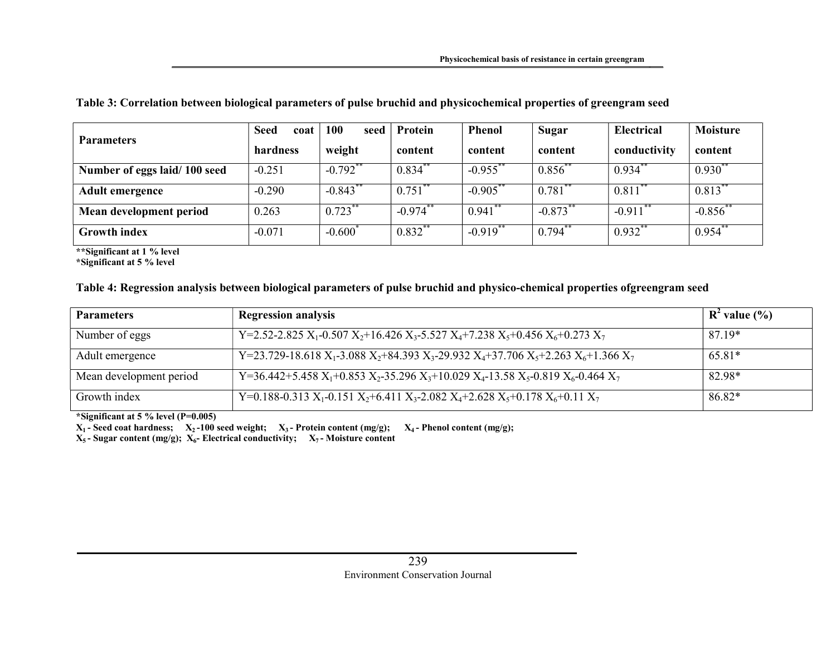| <b>Parameters</b>            | <b>Seed</b><br>coat | 100<br>seed           | Protein              | <b>Phenol</b>         | <b>Sugar</b>         | <b>Electrical</b> | <b>Moisture</b> |
|------------------------------|---------------------|-----------------------|----------------------|-----------------------|----------------------|-------------------|-----------------|
|                              | hardness            | weight                | content              | content               | content              | conductivity      | content         |
| Number of eggs laid/100 seed | $-0.251$            | $-0.792$ **           | $0.834$ **           | $-0.955$ **           | $0.856^{**}$         | $0.934$ **        | $0.930^{**}$    |
| <b>Adult emergence</b>       | $-0.290$            | $-0.843$ <sup>*</sup> | 0.751                | $-0.905$              | 0.781                | 0.811             | $0.813^*$       |
| Mean development period      | 0.263               | $0.723$ **            | $-0.974$ **          | $0.941$ **            | $-0.873**$           | $-0.911$ **       | $-0.856$ **     |
| <b>Growth index</b>          | $-0.071$            | $-0.600^{\degree}$    | $0.832$ <sup>*</sup> | $-0.919$ <sup>*</sup> | $0.794$ <sup>*</sup> | $0.932^*$         | 0.954           |

### Table 3: Correlation between biological parameters of pulse bruchid and physicochemical properties of greengram seed

\*\*Significant at 1 % level

\*Significant at 5 % level

# Table 4: Regression analysis between biological parameters of pulse bruchid and physico-chemical properties ofgreengram seed

| <b>Parameters</b>       | <b>Regression analysis</b>                                                                                                                                          | $R^2$ value $(\% )$ |
|-------------------------|---------------------------------------------------------------------------------------------------------------------------------------------------------------------|---------------------|
| Number of eggs          | Y=2.52-2.825 X <sub>1</sub> -0.507 X <sub>2</sub> +16.426 X <sub>3</sub> -5.527 X <sub>4</sub> +7.238 X <sub>5</sub> +0.456 X <sub>6</sub> +0.273 X <sub>7</sub>    | 87.19*              |
| Adult emergence         | Y=23.729-18.618 $X_1$ -3.088 $X_2$ +84.393 $X_3$ -29.932 $X_4$ +37.706 $X_5$ +2.263 $X_6$ +1.366 $X_7$                                                              | 65.81*              |
| Mean development period | Y=36.442+5.458 X <sub>1</sub> +0.853 X <sub>2</sub> -35.296 X <sub>3</sub> +10.029 X <sub>4</sub> -13.58 X <sub>5</sub> -0.819 X <sub>6</sub> -0.464 X <sub>7</sub> | 82.98*              |
| Growth index            | Y=0.188-0.313 X <sub>1</sub> -0.151 X <sub>2</sub> +6.411 X <sub>3</sub> -2.082 X <sub>4</sub> +2.628 X <sub>5</sub> +0.178 X <sub>6</sub> +0.11 X <sub>7</sub>     | 86.82*              |

\*Significant at 5 % level  $(P=0.005)$ 

 $X_1$ - Seed coat hardness;  $X_2$ -100 seed weight;  $X_3$ - Protein content (mg/g);  $X_4$ - Phenol content (mg/g);

 $X_5$ - Sugar content (mg/g);  $X_6$ - Electrical conductivity;  $X_7$ - Moisture content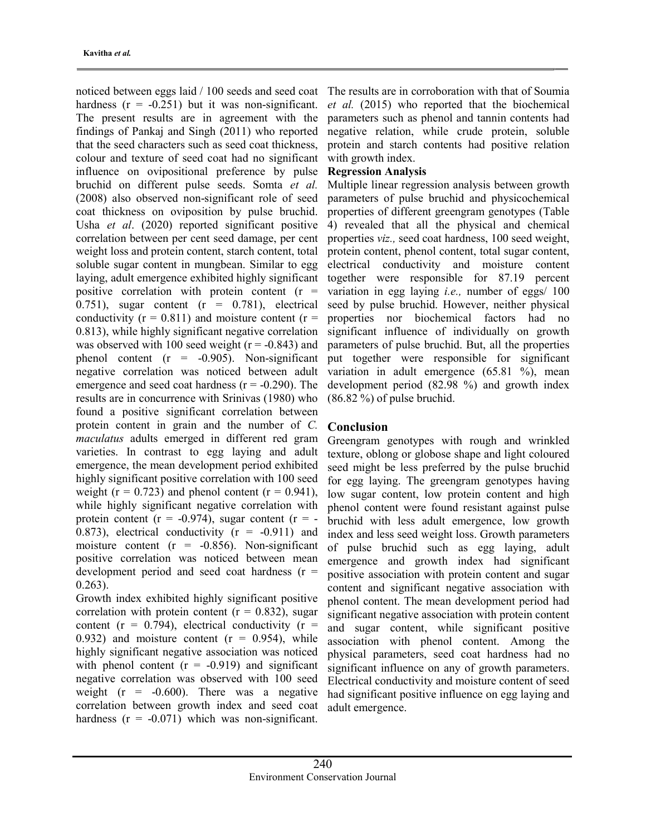noticed between eggs laid / 100 seeds and seed coat hardness  $(r = -0.251)$  but it was non-significant. The present results are in agreement with the findings of Pankaj and Singh (2011) who reported that the seed characters such as seed coat thickness, colour and texture of seed coat had no significant influence on ovipositional preference by pulse bruchid on different pulse seeds. Somta et al. (2008) also observed non-significant role of seed coat thickness on oviposition by pulse bruchid. Usha et al. (2020) reported significant positive correlation between per cent seed damage, per cent weight loss and protein content, starch content, total soluble sugar content in mungbean. Similar to egg laying, adult emergence exhibited highly significant positive correlation with protein content  $(r =$ 0.751), sugar content  $(r = 0.781)$ , electrical conductivity ( $r = 0.811$ ) and moisture content ( $r =$ 0.813), while highly significant negative correlation was observed with 100 seed weight ( $r = -0.843$ ) and phenol content  $(r = -0.905)$ . Non-significant negative correlation was noticed between adult emergence and seed coat hardness  $(r = -0.290)$ . The results are in concurrence with Srinivas (1980) who found a positive significant correlation between protein content in grain and the number of C. maculatus adults emerged in different red gram varieties. In contrast to egg laying and adult emergence, the mean development period exhibited highly significant positive correlation with 100 seed weight ( $r = 0.723$ ) and phenol content ( $r = 0.941$ ), while highly significant negative correlation with protein content ( $r = -0.974$ ), sugar content ( $r = -$ 0.873), electrical conductivity  $(r = -0.911)$  and moisture content  $(r = -0.856)$ . Non-significant positive correlation was noticed between mean development period and seed coat hardness (r = 0.263).

Growth index exhibited highly significant positive correlation with protein content  $(r = 0.832)$ , sugar content ( $r = 0.794$ ), electrical conductivity ( $r =$ 0.932) and moisture content  $(r = 0.954)$ , while highly significant negative association was noticed with phenol content  $(r = -0.919)$  and significant negative correlation was observed with 100 seed weight  $(r = -0.600)$ . There was a negative correlation between growth index and seed coat hardness  $(r = -0.071)$  which was non-significant.

The results are in corroboration with that of Soumia et al. (2015) who reported that the biochemical parameters such as phenol and tannin contents had negative relation, while crude protein, soluble protein and starch contents had positive relation with growth index.

#### Regression Analysis

Multiple linear regression analysis between growth parameters of pulse bruchid and physicochemical properties of different greengram genotypes (Table 4) revealed that all the physical and chemical properties viz., seed coat hardness, 100 seed weight, protein content, phenol content, total sugar content, electrical conductivity and moisture content together were responsible for 87.19 percent variation in egg laying *i.e.*, number of eggs/  $100$ seed by pulse bruchid. However, neither physical properties nor biochemical factors had no significant influence of individually on growth parameters of pulse bruchid. But, all the properties put together were responsible for significant variation in adult emergence (65.81 %), mean development period (82.98 %) and growth index (86.82 %) of pulse bruchid.

### Conclusion

Greengram genotypes with rough and wrinkled texture, oblong or globose shape and light coloured seed might be less preferred by the pulse bruchid for egg laying. The greengram genotypes having low sugar content, low protein content and high phenol content were found resistant against pulse bruchid with less adult emergence, low growth index and less seed weight loss. Growth parameters of pulse bruchid such as egg laying, adult emergence and growth index had significant positive association with protein content and sugar content and significant negative association with phenol content. The mean development period had significant negative association with protein content and sugar content, while significant positive association with phenol content. Among the physical parameters, seed coat hardness had no significant influence on any of growth parameters. Electrical conductivity and moisture content of seed had significant positive influence on egg laying and adult emergence.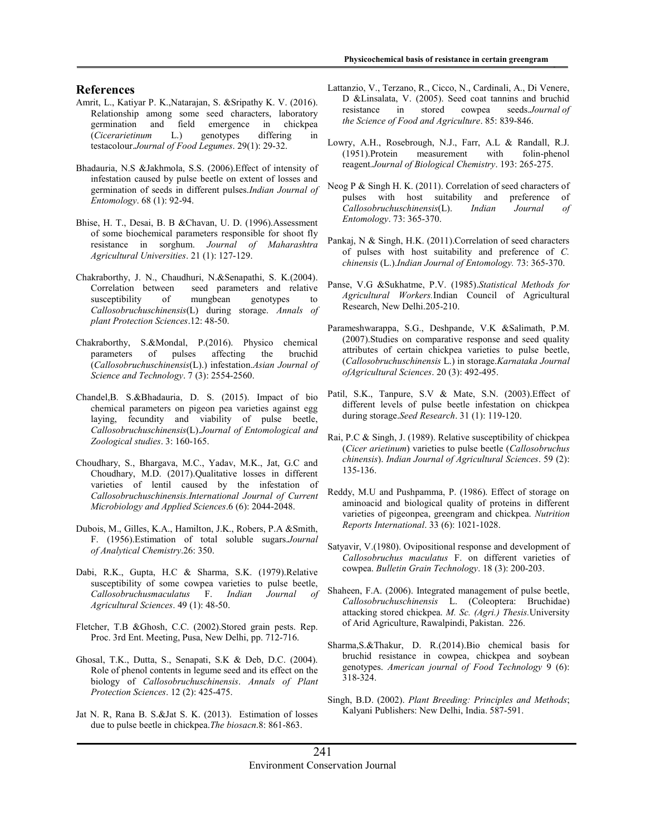#### References

- Amrit, L., Katiyar P. K.,Natarajan, S. &Sripathy K. V. (2016). Relationship among some seed characters, laboratory germination and field emergence in chickpea (Cicerarietinum L.) genotypes differing in testacolour.Journal of Food Legumes. 29(1): 29-32.
- Bhadauria, N.S &Jakhmola, S.S. (2006).Effect of intensity of infestation caused by pulse beetle on extent of losses and germination of seeds in different pulses.Indian Journal of Entomology. 68 (1): 92-94.
- Bhise, H. T., Desai, B. B &Chavan, U. D. (1996).Assessment of some biochemical parameters responsible for shoot fly resistance in sorghum. Journal of Maharashtra Agricultural Universities. 21 (1): 127-129.
- Chakraborthy, J. N., Chaudhuri, N.&Senapathi, S. K.(2004). Correlation between seed parameters and relative susceptibility of mungbean genotypes to Callosobruchuschinensis(L) during storage. Annals of plant Protection Sciences.12: 48-50.
- Chakraborthy, S.&Mondal, P.(2016). Physico chemical parameters of pulses affecting the bruchid (Callosobruchuschinensis(L).) infestation.Asian Journal of Science and Technology. 7 (3): 2554-2560.
- Chandel,B. S.&Bhadauria, D. S. (2015). Impact of bio chemical parameters on pigeon pea varieties against egg laying, fecundity and viability of pulse beetle, Callosobruchuschinensis(L).Journal of Entomological and Zoological studies. 3: 160-165.
- Choudhary, S., Bhargava, M.C., Yadav, M.K., Jat, G.C and Choudhary, M.D. (2017).Qualitative losses in different varieties of lentil caused by the infestation of Callosobruchuschinensis.International Journal of Current Microbiology and Applied Sciences.6 (6): 2044-2048.
- Dubois, M., Gilles, K.A., Hamilton, J.K., Robers, P.A &Smith, F. (1956).Estimation of total soluble sugars.Journal of Analytical Chemistry.26: 350.
- Dabi, R.K., Gupta, H.C & Sharma, S.K. (1979).Relative susceptibility of some cowpea varieties to pulse beetle, Callosobruchusmaculatus F. Indian Journal of Agricultural Sciences. 49 (1): 48-50.
- Fletcher, T.B &Ghosh, C.C. (2002).Stored grain pests. Rep. Proc. 3rd Ent. Meeting, Pusa, New Delhi, pp. 712-716.
- Ghosal, T.K., Dutta, S., Senapati, S.K & Deb, D.C. (2004). Role of phenol contents in legume seed and its effect on the biology of Callosobruchuschinensis. Annals of Plant Protection Sciences. 12 (2): 425-475.
- Jat N. R, Rana B. S.&Jat S. K. (2013). Estimation of losses due to pulse beetle in chickpea.The biosacn.8: 861-863.
- Lattanzio, V., Terzano, R., Cicco, N., Cardinali, A., Di Venere, D &Linsalata, V. (2005). Seed coat tannins and bruchid resistance in stored cowpea seeds.Journal of the Science of Food and Agriculture. 85: 839-846.
- Lowry, A.H., Rosebrough, N.J., Farr, A.L & Randall, R.J. (1951).Protein measurement with folin-phenol reagent.Journal of Biological Chemistry. 193: 265-275.
- Neog P & Singh H. K. (2011). Correlation of seed characters of pulses with host suitability and preference of Callosobruchuschinensis(L). Indian Journal of Entomology. 73: 365-370.
- Pankaj, N & Singh, H.K. (2011).Correlation of seed characters of pulses with host suitability and preference of C. chinensis (L.).Indian Journal of Entomology. 73: 365-370.
- Panse, V.G &Sukhatme, P.V. (1985).Statistical Methods for Agricultural Workers.Indian Council of Agricultural Research, New Delhi.205-210.
- Parameshwarappa, S.G., Deshpande, V.K &Salimath, P.M. (2007).Studies on comparative response and seed quality attributes of certain chickpea varieties to pulse beetle, (Callosobruchuschinensis L.) in storage.Karnataka Journal ofAgricultural Sciences. 20 (3): 492-495.
- Patil, S.K., Tanpure, S.V & Mate, S.N. (2003).Effect of different levels of pulse beetle infestation on chickpea during storage.Seed Research. 31 (1): 119-120.
- Rai, P.C & Singh, J. (1989). Relative susceptibility of chickpea (Cicer arietinum) varieties to pulse beetle (Callosobruchus chinensis). Indian Journal of Agricultural Sciences. 59 (2): 135-136.
- Reddy, M.U and Pushpamma, P. (1986). Effect of storage on aminoacid and biological quality of proteins in different varieties of pigeonpea, greengram and chickpea. Nutrition Reports International. 33 (6): 1021-1028.
- Satyavir, V.(1980). Ovipositional response and development of Callosobruchus maculatus F. on different varieties of cowpea. Bulletin Grain Technology. 18 (3): 200-203.
- Shaheen, F.A. (2006). Integrated management of pulse beetle, Callosobruchuschinensis L. (Coleoptera: Bruchidae) attacking stored chickpea. M. Sc. (Agri.) Thesis.University of Arid Agriculture, Rawalpindi, Pakistan. 226.
- Sharma,S.&Thakur, D. R.(2014).Bio chemical basis for bruchid resistance in cowpea, chickpea and soybean genotypes. American journal of Food Technology 9 (6): 318-324.
- Singh, B.D. (2002). Plant Breeding: Principles and Methods; Kalyani Publishers: New Delhi, India. 587-591.